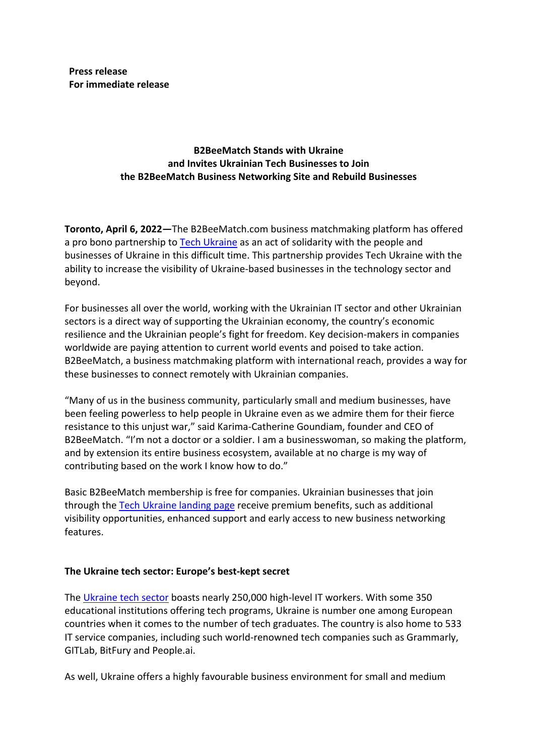**Press release For immediate release**

# **B2BeeMatch Stands with Ukraine and Invites Ukrainian Tech Businesses to Join the B2BeeMatch Business Networking Site and Rebuild Businesses**

**Toronto, April 6, 2022—**The B2BeeMatch.com business matchmaking platform has offered a pro bono partnership to Tech Ukraine as an act of solidarity with the people and businesses of Ukraine in this difficult time. This partnership provides Tech Ukraine with the ability to increase the visibility of Ukraine-based businesses in the technology sector and beyond.

For businesses all over the world, working with the Ukrainian IT sector and other Ukrainian sectors is a direct way of supporting the Ukrainian economy, the country's economic resilience and the Ukrainian people's fight for freedom. Key decision-makers in companies worldwide are paying attention to current world events and poised to take action. B2BeeMatch, a business matchmaking platform with international reach, provides a way for these businesses to connect remotely with Ukrainian companies.

"Many of us in the business community, particularly small and medium businesses, have been feeling powerless to help people in Ukraine even as we admire them for their fierce resistance to this unjust war," said Karima-Catherine Goundiam, founder and CEO of B2BeeMatch. "I'm not a doctor or a soldier. I am a businesswoman, so making the platform, and by extension its entire business ecosystem, available at no charge is my way of contributing based on the work I know how to do."

Basic B2BeeMatch membership is free for companies. Ukrainian businesses that join through the Tech Ukraine landing page receive premium benefits, such as additional visibility opportunities, enhanced support and early access to new business networking features.

#### **The Ukraine tech sector: Europe's best-kept secret**

The Ukraine tech sector boasts nearly 250,000 high-level IT workers. With some 350 educational institutions offering tech programs, Ukraine is number one among European countries when it comes to the number of tech graduates. The country is also home to 533 IT service companies, including such world-renowned tech companies such as Grammarly, GITLab, BitFury and People.ai.

As well, Ukraine offers a highly favourable business environment for small and medium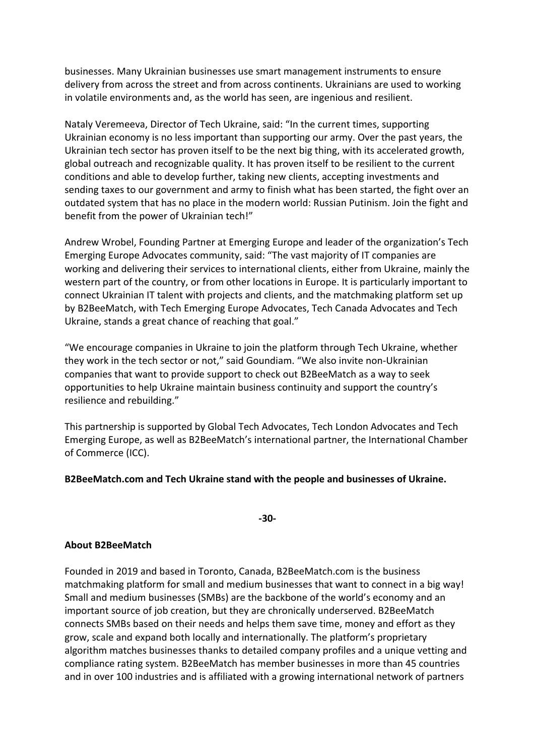businesses. Many Ukrainian businesses use smart management instruments to ensure delivery from across the street and from across continents. Ukrainians are used to working in volatile environments and, as the world has seen, are ingenious and resilient.

Nataly Veremeeva, Director of Tech Ukraine, said: "In the current times, supporting Ukrainian economy is no less important than supporting our army. Over the past years, the Ukrainian tech sector has proven itself to be the next big thing, with its accelerated growth, global outreach and recognizable quality. It has proven itself to be resilient to the current conditions and able to develop further, taking new clients, accepting investments and sending taxes to our government and army to finish what has been started, the fight over an outdated system that has no place in the modern world: Russian Putinism. Join the fight and benefit from the power of Ukrainian tech!"

Andrew Wrobel, Founding Partner at Emerging Europe and leader of the organization's Tech Emerging Europe Advocates community, said: "The vast majority of IT companies are working and delivering their services to international clients, either from Ukraine, mainly the western part of the country, or from other locations in Europe. It is particularly important to connect Ukrainian IT talent with projects and clients, and the matchmaking platform set up by B2BeeMatch, with Tech Emerging Europe Advocates, Tech Canada Advocates and Tech Ukraine, stands a great chance of reaching that goal."

"We encourage companies in Ukraine to join the platform through Tech Ukraine, whether they work in the tech sector or not," said Goundiam. "We also invite non-Ukrainian companies that want to provide support to check out B2BeeMatch as a way to seek opportunities to help Ukraine maintain business continuity and support the country's resilience and rebuilding."

This partnership is supported by Global Tech Advocates, Tech London Advocates and Tech Emerging Europe, as well as B2BeeMatch's international partner, the International Chamber of Commerce (ICC).

#### **B2BeeMatch.com and Tech Ukraine stand with the people and businesses of Ukraine.**

**-30-**

#### **About B2BeeMatch**

Founded in 2019 and based in Toronto, Canada, B2BeeMatch.com is the business matchmaking platform for small and medium businesses that want to connect in a big way! Small and medium businesses (SMBs) are the backbone of the world's economy and an important source of job creation, but they are chronically underserved. B2BeeMatch connects SMBs based on their needs and helps them save time, money and effort as they grow, scale and expand both locally and internationally. The platform's proprietary algorithm matches businesses thanks to detailed company profiles and a unique vetting and compliance rating system. B2BeeMatch has member businesses in more than 45 countries and in over 100 industries and is affiliated with a growing international network of partners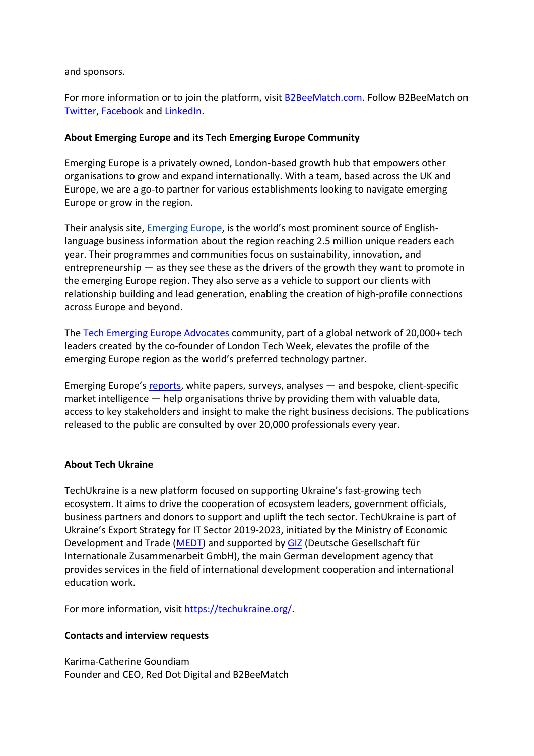and sponsors.

For more information or to join the platform, visit B2BeeMatch.com. Follow B2BeeMatch on Twitter, Facebook and LinkedIn.

### **About Emerging Europe and its Tech Emerging Europe Community**

Emerging Europe is a privately owned, London-based growth hub that empowers other organisations to grow and expand internationally. With a team, based across the UK and Europe, we are a go-to partner for various establishments looking to navigate emerging Europe or grow in the region.

Their analysis site, Emerging Europe, is the world's most prominent source of Englishlanguage business information about the region reaching 2.5 million unique readers each year. Their programmes and communities focus on sustainability, innovation, and entrepreneurship — as they see these as the drivers of the growth they want to promote in the emerging Europe region. They also serve as a vehicle to support our clients with relationship building and lead generation, enabling the creation of high-profile connections across Europe and beyond.

The Tech Emerging Europe Advocates community, part of a global network of 20,000+ tech leaders created by the co-founder of London Tech Week, elevates the profile of the emerging Europe region as the world's preferred technology partner.

Emerging Europe's reports, white papers, surveys, analyses — and bespoke, client-specific market intelligence — help organisations thrive by providing them with valuable data, access to key stakeholders and insight to make the right business decisions. The publications released to the public are consulted by over 20,000 professionals every year.

#### **About Tech Ukraine**

TechUkraine is a new platform focused on supporting Ukraine's fast-growing tech ecosystem. It aims to drive the cooperation of ecosystem leaders, government officials, business partners and donors to support and uplift the tech sector. TechUkraine is part of Ukraine's Export Strategy for IT Sector 2019-2023, initiated by the Ministry of Economic Development and Trade (MEDT) and supported by GIZ (Deutsche Gesellschaft für Internationale Zusammenarbeit GmbH), the main German development agency that provides services in the field of international development cooperation and international education work.

For more information, visit https://techukraine.org/.

# **Contacts and interview requests**

Karima-Catherine Goundiam Founder and CEO, Red Dot Digital and B2BeeMatch